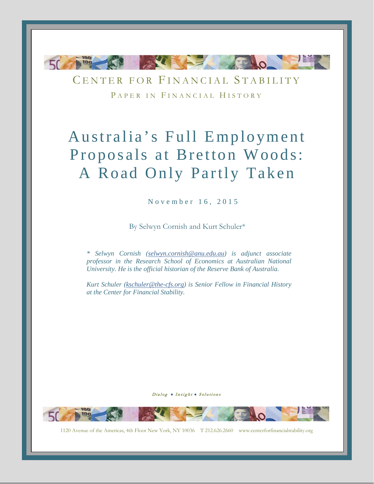

CENTER FOR FINANCIAL STABILITY PAPER IN FINANCIAL HISTORY

# Australia's Full Employment Proposals at Bretton Woods: A Road Only Partly Taken

November 16, 2015

By Selwyn Cornish and Kurt Schuler\*

*\* Selwyn Cornish [\(selwyn.cornish@anu.edu.au\)](mailto:selwyn.cornish@anu.edu.au) is adjunct associate professor in the Research School of Economics at Australian National University. He is the official historian of the Reserve Bank of Australia.*

*Kurt Schuler [\(kschuler@the-cfs.org\)](mailto:kschuler@the-cfs.org) is Senior Fellow in Financial History at the Center for Financial Stability.*

Dialog . Insight . Solutions

-0-

1120 Avenue of the Americas, 4th Floor New York, NY 10036 T 212.626.2660 www.centerforfinancialstability.org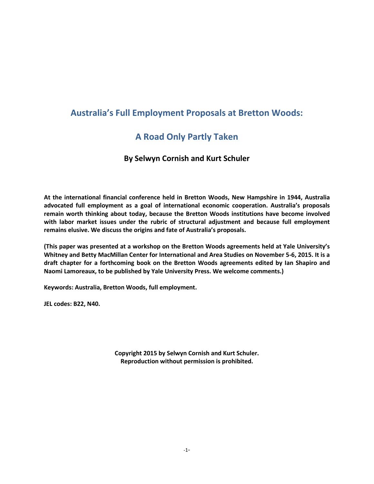## <span id="page-1-0"></span>**Australia's Full Employment Proposals at Bretton Woods:**

## **A Road Only Partly Taken**

### **By Selwyn Cornish and Kurt Schuler**

**At the international financial conference held in Bretton Woods, New Hampshire in 1944, Australia advocated full employment as a goal of international economic cooperation. Australia's proposals remain worth thinking about today, because the Bretton Woods institutions have become involved with labor market issues under the rubric of structural adjustment and because full employment remains elusive. We discuss the origins and fate of Australia's proposals.**

**(This paper was presented at a workshop on the Bretton Woods agreements held at Yale University's Whitney and Betty MacMillan Center for International and Area Studies on November 5-6, 2015. It is a draft chapter for a forthcoming book on the Bretton Woods agreements edited by Ian Shapiro and Naomi Lamoreaux, to be published by Yale University Press. We welcome comments.)**

**Keywords: Australia, Bretton Woods, full employment.**

**JEL codes: B22, N40.**

**Copyright 2015 by Selwyn Cornish and Kurt Schuler. Reproduction without permission is prohibited.**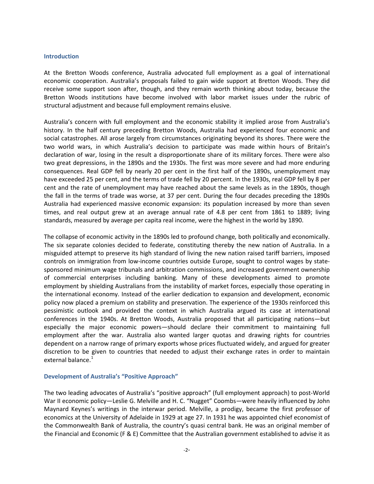#### **Introduction**

At the Bretton Woods conference, Australia advocated full employment as a goal of international economic cooperation. Australia's proposals failed to gain wide support at Bretton Woods. They did receive some support soon after, though, and they remain worth thinking about today, because the Bretton Woods institutions have become involved with labor market issues under the rubric of structural adjustment and because full employment remains elusive.

<span id="page-2-1"></span><span id="page-2-0"></span>Australia's concern with full employment and the economic stability it implied arose from Australia's history. In the half century preceding Bretton Woods, Australia had experienced four economic and social catastrophes. All arose largely from circumstances originating beyond its shores. There were the two world wars, in which Australia's decision to participate was made within hours of Britain's declaration of war, losing in the result a disproportionate share of its military forces. There were also two great depressions, in the 1890s and the 1930s. The first was more severe and had more enduring consequences. Real GDP fell by nearly 20 per cent in the first half of the 1890s, unemployment may have exceeded 25 per cent, and the terms of trade fell by 20 percent. In the 1930s, real GDP fell by 8 per cent and the rate of unemployment may have reached about the same levels as in the 1890s, though the fall in the terms of trade was worse, at 37 per cent. During the four decades preceding the 1890s Australia had experienced massive economic expansion: its population increased by more than seven times, and real output grew at an average annual rate of 4.8 per cent from 1861 to 1889; living standards, measured by average per capita real income, were the highest in the world by 1890.

The collapse of economic activity in the 1890s led to profound change*,* both politically and economically. The six separate colonies decided to federate, constituting thereby the new nation of Australia. In a misguided attempt to preserve its high standard of living the new nation raised tariff barriers, imposed controls on immigration from low-income countries outside Europe, sought to control wages by statesponsored minimum wage tribunals and arbitration commissions, and increased government ownership of commercial enterprises including banking. Many of these developments aimed to promote employment by shielding Australians from the instability of market forces, especially those operating in the international economy. Instead of the earlier dedication to expansion and development, economic policy now placed a premium on stability and preservation. The experience of the 1930s reinforced this pessimistic outlook and provided the context in which Australia argued its case at international conferences in the 1940s. At Bretton Woods, Australia proposed that all participating nations—but especially the major economic powers—should declare their commitment to maintaining full employment after the war. Australia also wanted larger quotas and drawing rights for countries dependent on a narrow range of primary exports whose prices fluctuated widely, and argued for greater discretion to be given to countries that needed to adjust their exchange rates in order to maintain external balance.<sup>[1](#page-1-0)</sup>

#### **Development of Australia's "Positive Approach"**

The two leading advocates of Australia's "positive approach" (full employment approach) to post-World War II economic policy—Leslie G. Melville and H. C. "Nugget" Coombs—were heavily influenced by John Maynard Keynes's writings in the interwar period. Melville, a prodigy, became the first professor of economics at the University of Adelaide in 1929 at age 27. In 1931 he was appointed chief economist of the Commonwealth Bank of Australia, the country's quasi central bank. He was an original member of the Financial and Economic (F & E) Committee that the Australian government established to advise it as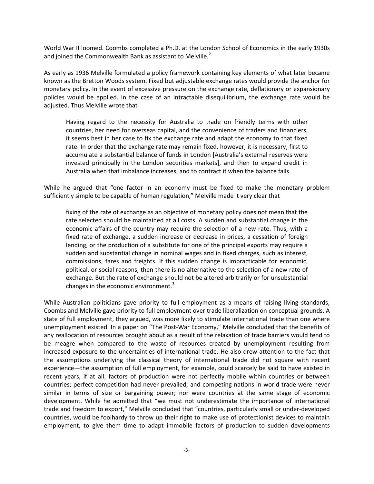World War II loomed. Coombs completed a Ph.D. at the London School of Economics in the early 1930s and joined the Commonwealth Bank as assistant to Melville. $<sup>2</sup>$  $<sup>2</sup>$  $<sup>2</sup>$ </sup>

As early as 1936 Melville formulated a policy framework containing key elements of what later became known as the Bretton Woods system. Fixed but adjustable exchange rates would provide the anchor for monetary policy. In the event of excessive pressure on the exchange rate, deflationary or expansionary policies would be applied. In the case of an intractable disequilibrium, the exchange rate would be adjusted. Thus Melville wrote that

Having regard to the necessity for Australia to trade on friendly terms with other countries, her need for overseas capital, and the convenience of traders and financiers, it seems best in her case to fix the exchange rate and adapt the economy to that fixed rate. In order that the exchange rate may remain fixed, however, it is necessary, first to accumulate a substantial balance of funds in London [Australia's external reserves were invested principally in the London securities markets], and then to expand credit in Australia when that imbalance increases, and to contract it when the balance falls.

<span id="page-3-4"></span><span id="page-3-3"></span><span id="page-3-2"></span><span id="page-3-1"></span><span id="page-3-0"></span>While he argued that "one factor in an economy must be fixed to make the monetary problem sufficiently simple to be capable of human regulation," Melville made it very clear that

fixing of the rate of exchange as an objective of monetary policy does not mean that the rate selected should be maintained at all costs. A sudden and substantial change in the economic affairs of the country may require the selection of a new rate. Thus, with a fixed rate of exchange, a sudden increase or decrease in prices, a cessation of foreign lending, or the production of a substitute for one of the principal exports may require a sudden and substantial change in nominal wages and in fixed charges, such as interest, commissions, fares and freights. If this sudden change is impracticable for economic, political, or social reasons, then there is no alternative to the selection of a new rate of exchange. But the rate of exchange should not be altered arbitrarily or for unsubstantial changes in the economic environment. $3$ 

<span id="page-3-7"></span><span id="page-3-6"></span><span id="page-3-5"></span>While Australian politicians gave priority to full employment as a means of raising living standards, Coombs and Melville gave priority to full employment over trade liberalization on conceptual grounds. A state of full employment, they argued, was more likely to stimulate international trade than one where unemployment existed. In a paper on "The Post-War Economy," Melville concluded that the benefits of any reallocation of resources brought about as a result of the relaxation of trade barriers would tend to be meagre when compared to the waste of resources created by unemployment resulting from increased exposure to the uncertainties of international trade. He also drew attention to the fact that the assumptions underlying the classical theory of international trade did not square with recent experience—the assumption of full employment, for example, could scarcely be said to have existed in recent years, if at all; factors of production were not perfectly mobile within countries or between countries; perfect competition had never prevailed; and competing nations in world trade were never similar in terms of size or bargaining power; nor were countries at the same stage of economic development. While he admitted that "we must not underestimate the importance of international trade and freedom to export," Melville concluded that "countries, particularly small or under-developed countries, would be foolhardy to throw up their right to make use of protectionist devices to maintain employment, to give them time to adapt immobile factors of production to sudden developments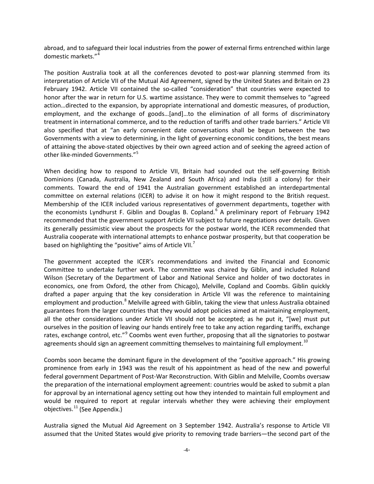abroad, and to safeguard their local industries from the power of external firms entrenched within large domestic markets."[4](#page-3-0)

The position Australia took at all the conferences devoted to post-war planning stemmed from its interpretation of Article VII of the Mutual Aid Agreement, signed by the United States and Britain on 23 February 1942. Article VII contained the so-called "consideration" that countries were expected to honor after the war in return for U.S. wartime assistance. They were to commit themselves to "agreed action…directed to the expansion, by appropriate international and domestic measures, of production, employment, and the exchange of goods…[and]…to the elimination of all forms of discriminatory treatment in international commerce, and to the reduction of tariffs and other trade barriers." Article VII also specified that at "an early convenient date conversations shall be begun between the two Governments with a view to determining, in the light of governing economic conditions, the best means of attaining the above-stated objectives by their own agreed action and of seeking the agreed action of other like-minded Governments."<sup>[5](#page-3-1)</sup>

When deciding how to respond to Article VII, Britain had sounded out the self-governing British Dominions (Canada, Australia, New Zealand and South Africa) and India (still a colony) for their comments. Toward the end of 1941 the Australian government established an interdepartmental committee on external relations (ICER) to advise it on how it might respond to the British request. Membership of the ICER included various representatives of government departments, together with the economists Lyndhurst F. Giblin and Douglas B. Copland.<sup>[6](#page-3-2)</sup> A preliminary report of February 1942 recommended that the government support Article VII subject to future negotiations over details. Given its generally pessimistic view about the prospects for the postwar world, the ICER recommended that Australia cooperate with international attempts to enhance postwar prosperity, but that cooperation be based on highlighting the "positive" aims of Article VII.<sup>[7](#page-3-3)</sup>

<span id="page-4-0"></span>The government accepted the ICER's recommendations and invited the Financial and Economic Committee to undertake further work. The committee was chaired by Giblin, and included Roland Wilson (Secretary of the Department of Labor and National Service and holder of two doctorates in economics, one from Oxford, the other from Chicago), Melville, Copland and Coombs. Giblin quickly drafted a paper arguing that the key consideration in Article VII was the reference to maintaining employment and production.<sup>[8](#page-3-4)</sup> Melville agreed with Giblin, taking the view that unless Australia obtained guarantees from the larger countries that they would adopt policies aimed at maintaining employment, all the other considerations under Article VII should not be accepted; as he put it, "[we] must put ourselves in the position of leaving our hands entirely free to take any action regarding tariffs, exchange rates, exchange control, etc."<sup>[9](#page-3-5)</sup> Coombs went even further, proposing that all the signatories to postwar agreements should sign an agreement committing themselves to maintaining full employment.<sup>[10](#page-3-6)</sup>

<span id="page-4-3"></span><span id="page-4-2"></span><span id="page-4-1"></span>Coombs soon became the dominant figure in the development of the "positive approach." His growing prominence from early in 1943 was the result of his appointment as head of the new and powerful federal government Department of Post-War Reconstruction. With Giblin and Melville, Coombs oversaw the preparation of the international employment agreement: countries would be asked to submit a plan for approval by an international agency setting out how they intended to maintain full employment and would be required to report at regular intervals whether they were achieving their employment objectives.<sup>[11](#page-3-7)</sup> (See Appendix.)

Australia signed the Mutual Aid Agreement on 3 September 1942. Australia's response to Article VII assumed that the United States would give priority to removing trade barriers—the second part of the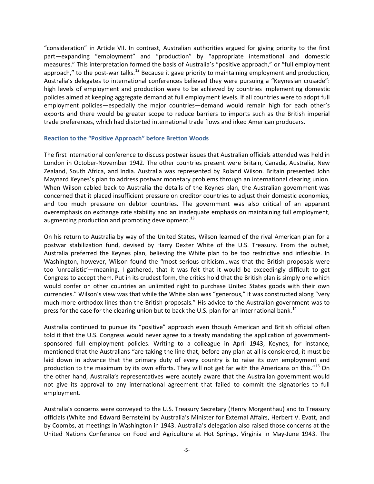"consideration" in Article VII. In contrast, Australian authorities argued for giving priority to the first part—expanding "employment" and "production" by "appropriate international and domestic measures." This interpretation formed the basis of Australia's "positive approach," or "full employment approach," to the post-war talks.<sup>[12](#page-4-0)</sup> Because it gave priority to maintaining employment and production, Australia's delegates to international conferences believed they were pursuing a "Keynesian crusade": high levels of employment and production were to be achieved by countries implementing domestic policies aimed at keeping aggregate demand at full employment levels. If all countries were to adopt full employment policies—especially the major countries—demand would remain high for each other's exports and there would be greater scope to reduce barriers to imports such as the British imperial trade preferences, which had distorted international trade flows and irked American producers.

#### **Reaction to the "Positive Approach" before Bretton Woods**

The first international conference to discuss postwar issues that Australian officials attended was held in London in October-November 1942. The other countries present were Britain, Canada, Australia, New Zealand, South Africa, and India. Australia was represented by Roland Wilson. Britain presented John Maynard Keynes's plan to address postwar monetary problems through an international clearing union. When Wilson cabled back to Australia the details of the Keynes plan, the Australian government was concerned that it placed insufficient pressure on creditor countries to adjust their domestic economies, and too much pressure on debtor countries. The government was also critical of an apparent overemphasis on exchange rate stability and an inadequate emphasis on maintaining full employment, augmenting production and promoting development.<sup>[13](#page-4-1)</sup>

On his return to Australia by way of the United States, Wilson learned of the rival American plan for a postwar stabilization fund, devised by Harry Dexter White of the U.S. Treasury. From the outset, Australia preferred the Keynes plan, believing the White plan to be too restrictive and inflexible. In Washington, however, Wilson found the "most serious criticism…was that the British proposals were too 'unrealistic'—meaning, I gathered, that it was felt that it would be exceedingly difficult to get Congress to accept them. Put in its crudest form, the critics hold that the British plan is simply one which would confer on other countries an unlimited right to purchase United States goods with their own currencies." Wilson's view was that while the White plan was "generous," it was constructed along "very much more orthodox lines than the British proposals." His advice to the Australian government was to press for the case for the clearing union but to back the U.S. plan for an international bank.<sup>[14](#page-4-2)</sup>

<span id="page-5-0"></span>Australia continued to pursue its "positive" approach even though American and British official often told it that the U.S. Congress would never agree to a treaty mandating the application of governmentsponsored full employment policies. Writing to a colleague in April 1943, Keynes, for instance, mentioned that the Australians "are taking the line that, before any plan at all is considered, it must be laid down in advance that the primary duty of every country is to raise its own employment and production to the maximum by its own efforts. They will not get far with the Americans on this."<sup>[15](#page-4-3)</sup> On the other hand, Australia's representatives were acutely aware that the Australian government would not give its approval to any international agreement that failed to commit the signatories to full employment.

<span id="page-5-1"></span>Australia's concerns were conveyed to the U.S. Treasury Secretary (Henry Morgenthau) and to Treasury officials (White and Edward Bernstein) by Australia's Minister for External Affairs, Herbert V. Evatt, and by Coombs, at meetings in Washington in 1943. Australia's delegation also raised those concerns at the United Nations Conference on Food and Agriculture at Hot Springs, Virginia in May-June 1943. The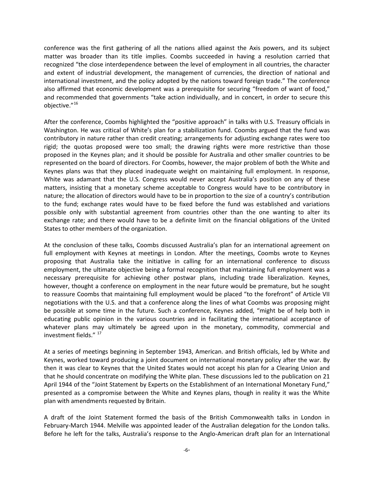<span id="page-6-5"></span><span id="page-6-4"></span><span id="page-6-3"></span>conference was the first gathering of all the nations allied against the Axis powers, and its subject matter was broader than its title implies. Coombs succeeded in having a resolution carried that recognized "the close interdependence between the level of employment in all countries, the character and extent of industrial development, the management of currencies, the direction of national and international investment, and the policy adopted by the nations toward foreign trade." The conference also affirmed that economic development was a prerequisite for securing "freedom of want of food," and recommended that governments "take action individually, and in concert, in order to secure this objective."<sup>[16](#page-5-0)</sup>

After the conference, Coombs highlighted the "positive approach" in talks with U.S. Treasury officials in Washington. He was critical of White's plan for a stabilization fund. Coombs argued that the fund was contributory in nature rather than credit creating; arrangements for adjusting exchange rates were too rigid; the quotas proposed were too small; the drawing rights were more restrictive than those proposed in the Keynes plan; and it should be possible for Australia and other smaller countries to be represented on the board of directors. For Coombs, however, the major problem of both the White and Keynes plans was that they placed inadequate weight on maintaining full employment. In response, White was adamant that the U.S. Congress would never accept Australia's position on any of these matters, insisting that a monetary scheme acceptable to Congress would have to be contributory in nature; the allocation of directors would have to be in proportion to the size of a country's contribution to the fund; exchange rates would have to be fixed before the fund was established and variations possible only with substantial agreement from countries other than the one wanting to alter its exchange rate; and there would have to be a definite limit on the financial obligations of the United States to other members of the organization.

At the conclusion of these talks, Coombs discussed Australia's plan for an international agreement on full employment with Keynes at meetings in London. After the meetings, Coombs wrote to Keynes proposing that Australia take the initiative in calling for an international conference to discuss employment, the ultimate objective being a formal recognition that maintaining full employment was a necessary prerequisite for achieving other postwar plans, including trade liberalization. Keynes, however, thought a conference on employment in the near future would be premature, but he sought to reassure Coombs that maintaining full employment would be placed "to the forefront" of Article VII negotiations with the U.S. and that a conference along the lines of what Coombs was proposing might be possible at some time in the future. Such a conference, Keynes added, "might be of help both in educating public opinion in the various countries and in facilitating the international acceptance of whatever plans may ultimately be agreed upon in the monetary, commodity, commercial and investment fields." [17](#page-5-1)

At a series of meetings beginning in September 1943, American. and British officials, led by White and Keynes, worked toward producing a joint document on international monetary policy after the war. By then it was clear to Keynes that the United States would not accept his plan for a Clearing Union and that he should concentrate on modifying the White plan. These discussions led to the publication on 21 April 1944 of the "Joint Statement by Experts on the Establishment of an International Monetary Fund," presented as a compromise between the White and Keynes plans, though in reality it was the White plan with amendments requested by Britain.

<span id="page-6-2"></span><span id="page-6-1"></span><span id="page-6-0"></span>A draft of the Joint Statement formed the basis of the British Commonwealth talks in London in February-March 1944. Melville was appointed leader of the Australian delegation for the London talks. Before he left for the talks, Australia's response to the Anglo-American draft plan for an International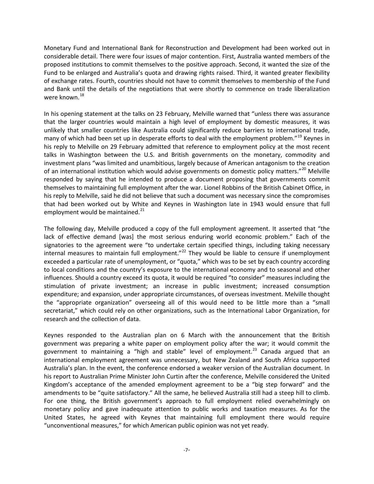<span id="page-7-0"></span>Monetary Fund and International Bank for Reconstruction and Development had been worked out in considerable detail. There were four issues of major contention. First, Australia wanted members of the proposed institutions to commit themselves to the positive approach. Second, it wanted the size of the Fund to be enlarged and Australia's quota and drawing rights raised. Third, it wanted greater flexibility of exchange rates. Fourth, countries should not have to commit themselves to membership of the Fund and Bank until the details of the negotiations that were shortly to commence on trade liberalization were known.<sup>[18](#page-6-0)</sup>

<span id="page-7-1"></span>In his opening statement at the talks on 23 February, Melville warned that "unless there was assurance that the larger countries would maintain a high level of employment by domestic measures, it was unlikely that smaller countries like Australia could significantly reduce barriers to international trade, many of which had been set up in desperate efforts to deal with the employment problem."<sup>[19](#page-6-1)</sup> Keynes in his reply to Melville on 29 February admitted that reference to employment policy at the most recent talks in Washington between the U.S. and British governments on the monetary, commodity and investment plans "was limited and unambitious, largely because of American antagonism to the creation of an international institution which would advise governments on domestic policy matters."<sup>[20](#page-6-2)</sup> Melville responded by saying that he intended to produce a document proposing that governments commit themselves to maintaining full employment after the war. Lionel Robbins of the British Cabinet Office, in his reply to Melville, said he did not believe that such a document was necessary since the compromises that had been worked out by White and Keynes in Washington late in 1943 would ensure that full employment would be maintained.<sup>[21](#page-6-3)</sup>

The following day, Melville produced a copy of the full employment agreement. It asserted that "the lack of effective demand [was] the most serious enduring world economic problem." Each of the signatories to the agreement were "to undertake certain specified things, including taking necessary internal measures to maintain full employment."<sup>[22](#page-6-4)</sup> They would be liable to censure if unemployment exceeded a particular rate of unemployment, or "quota," which was to be set by each country according to local conditions and the country's exposure to the international economy and to seasonal and other influences. Should a country exceed its quota, it would be required "to consider" measures including the stimulation of private investment; an increase in public investment; increased consumption expenditure; and expansion, under appropriate circumstances, of overseas investment. Melville thought the "appropriate organization" overseeing all of this would need to be little more than a "small secretariat," which could rely on other organizations, such as the International Labor Organization, for research and the collection of data.

Keynes responded to the Australian plan on 6 March with the announcement that the British government was preparing a white paper on employment policy after the war; it would commit the government to maintaining a "high and stable" level of employment.<sup>[23](#page-6-5)</sup> Canada argued that an international employment agreement was unnecessary, but New Zealand and South Africa supported Australia's plan. In the event, the conference endorsed a weaker version of the Australian document. In his report to Australian Prime Minister John Curtin after the conference, Melville considered the United Kingdom's acceptance of the amended employment agreement to be a "big step forward" and the amendments to be "quite satisfactory." All the same, he believed Australia still had a steep hill to climb. For one thing, the British government's approach to full employment relied overwhelmingly on monetary policy and gave inadequate attention to public works and taxation measures. As for the United States, he agreed with Keynes that maintaining full employment there would require "unconventional measures," for which American public opinion was not yet ready.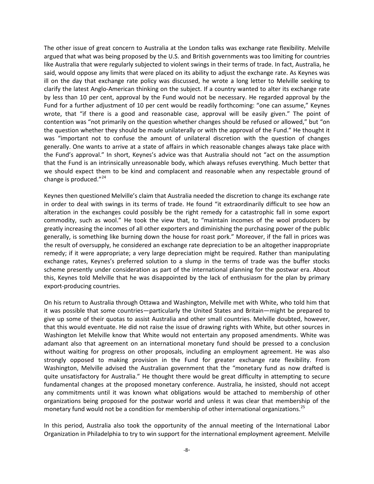<span id="page-8-1"></span><span id="page-8-0"></span>The other issue of great concern to Australia at the London talks was exchange rate flexibility. Melville argued that what was being proposed by the U.S. and British governments was too limiting for countries like Australia that were regularly subjected to violent swings in their terms of trade. In fact, Australia, he said, would oppose any limits that were placed on its ability to adjust the exchange rate. As Keynes was ill on the day that exchange rate policy was discussed, he wrote a long letter to Melville seeking to clarify the latest Anglo-American thinking on the subject. If a country wanted to alter its exchange rate by less than 10 per cent, approval by the Fund would not be necessary. He regarded approval by the Fund for a further adjustment of 10 per cent would be readily forthcoming: "one can assume," Keynes wrote, that "if there is a good and reasonable case, approval will be easily given." The point of contention was "not primarily on the question whether changes should be refused or allowed," but "on the question whether they should be made unilaterally or with the approval of the Fund." He thought it was "important not to confuse the amount of unilateral discretion with the question of changes generally. One wants to arrive at a state of affairs in which reasonable changes always take place with the Fund's approval." In short, Keynes's advice was that Australia should not "act on the assumption that the Fund is an intrinsically unreasonable body, which always refuses everything. Much better that we should expect them to be kind and complacent and reasonable when any respectable ground of change is produced."<sup>[24](#page-7-0)</sup>

<span id="page-8-2"></span>Keynes then questioned Melville's claim that Australia needed the discretion to change its exchange rate in order to deal with swings in its terms of trade. He found "it extraordinarily difficult to see how an alteration in the exchanges could possibly be the right remedy for a catastrophic fall in some export commodity, such as wool." He took the view that, to "maintain incomes of the wool producers by greatly increasing the incomes of all other exporters and diminishing the purchasing power of the public generally, is something like burning down the house for roast pork." Moreover, if the fall in prices was the result of oversupply, he considered an exchange rate depreciation to be an altogether inappropriate remedy; if it were appropriate; a very large depreciation might be required. Rather than manipulating exchange rates, Keynes's preferred solution to a slump in the terms of trade was the buffer stocks scheme presently under consideration as part of the international planning for the postwar era. About this, Keynes told Melville that he was disappointed by the lack of enthusiasm for the plan by primary export-producing countries.

On his return to Australia through Ottawa and Washington, Melville met with White, who told him that it was possible that some countries—particularly the United States and Britain—might be prepared to give up some of their quotas to assist Australia and other small countries. Melville doubted, however, that this would eventuate. He did not raise the issue of drawing rights with White, but other sources in Washington let Melville know that White would not entertain any proposed amendments. White was adamant also that agreement on an international monetary fund should be pressed to a conclusion without waiting for progress on other proposals, including an employment agreement. He was also strongly opposed to making provision in the Fund for greater exchange rate flexibility. From Washington, Melville advised the Australian government that the "monetary fund as now drafted is quite unsatisfactory for Australia." He thought there would be great difficulty in attempting to secure fundamental changes at the proposed monetary conference. Australia, he insisted, should not accept any commitments until it was known what obligations would be attached to membership of other organizations being proposed for the postwar world and unless it was clear that membership of the monetary fund would not be a condition for membership of other international organizations.<sup>[25](#page-7-1)</sup>

In this period, Australia also took the opportunity of the annual meeting of the International Labor Organization in Philadelphia to try to win support for the international employment agreement. Melville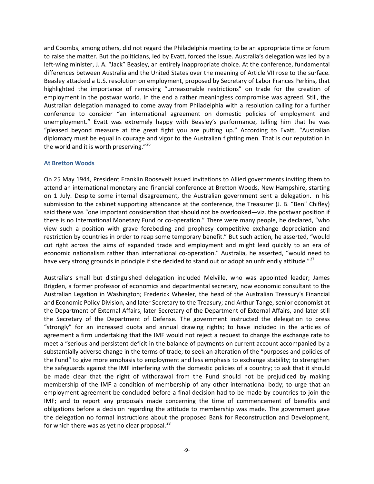and Coombs, among others, did not regard the Philadelphia meeting to be an appropriate time or forum to raise the matter. But the politicians, led by Evatt, forced the issue. Australia's delegation was led by a left-wing minister, J. A. "Jack" Beasley, an entirely inappropriate choice. At the conference, fundamental differences between Australia and the United States over the meaning of Article VII rose to the surface. Beasley attacked a U.S. resolution on employment, proposed by Secretary of Labor Frances Perkins, that highlighted the importance of removing "unreasonable restrictions" on trade for the creation of employment in the postwar world. In the end a rather meaningless compromise was agreed. Still, the Australian delegation managed to come away from Philadelphia with a resolution calling for a further conference to consider "an international agreement on domestic policies of employment and unemployment." Evatt was extremely happy with Beasley's performance, telling him that he was "pleased beyond measure at the great fight you are putting up." According to Evatt, "Australian diplomacy must be equal in courage and vigor to the Australian fighting men. That is our reputation in the world and it is worth preserving." $26$ 

#### <span id="page-9-1"></span><span id="page-9-0"></span>**At Bretton Woods**

<span id="page-9-4"></span><span id="page-9-3"></span><span id="page-9-2"></span>On 25 May 1944, President Franklin Roosevelt issued invitations to Allied governments inviting them to attend an international monetary and financial conference at Bretton Woods, New Hampshire, starting on 1 July. Despite some internal disagreement, the Australian government sent a delegation. In his submission to the cabinet supporting attendance at the conference, the Treasurer (J. B. "Ben" Chifley) said there was "one important consideration that should not be overlooked—viz. the postwar position if there is no International Monetary Fund or co-operation." There were many people, he declared, "who view such a position with grave foreboding and prophesy competitive exchange depreciation and restriction by countries in order to reap some temporary benefit." But such action, he asserted, "would cut right across the aims of expanded trade and employment and might lead quickly to an era of economic nationalism rather than international co-operation." Australia, he asserted, "would need to have very strong grounds in principle if she decided to stand out or adopt an unfriendly attitude."<sup>[27](#page-8-1)</sup>

Australia's small but distinguished delegation included Melville, who was appointed leader; James Brigden, a former professor of economics and departmental secretary, now economic consultant to the Australian Legation in Washington; Frederick Wheeler, the head of the Australian Treasury's Financial and Economic Policy Division, and later Secretary to the Treasury; and Arthur Tange, senior economist at the Department of External Affairs, later Secretary of the Department of External Affairs, and later still the Secretary of the Department of Defense. The government instructed the delegation to press "strongly" for an increased quota and annual drawing rights; to have included in the articles of agreement a firm undertaking that the IMF would not reject a request to change the exchange rate to meet a "serious and persistent deficit in the balance of payments on current account accompanied by a substantially adverse change in the terms of trade; to seek an alteration of the "purposes and policies of the Fund" to give more emphasis to employment and less emphasis to exchange stability; to strengthen the safeguards against the IMF interfering with the domestic policies of a country; to ask that it should be made clear that the right of withdrawal from the Fund should not be prejudiced by making membership of the IMF a condition of membership of any other international body; to urge that an employment agreement be concluded before a final decision had to be made by countries to join the IMF; and to report any proposals made concerning the time of commencement of benefits and obligations before a decision regarding the attitude to membership was made. The government gave the delegation no formal instructions about the proposed Bank for Reconstruction and Development, for which there was as yet no clear proposal. $^{28}$  $^{28}$  $^{28}$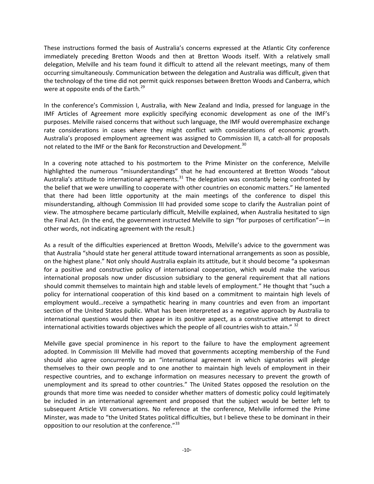These instructions formed the basis of Australia's concerns expressed at the Atlantic City conference immediately preceding Bretton Woods and then at Bretton Woods itself. With a relatively small delegation, Melville and his team found it difficult to attend all the relevant meetings, many of them occurring simultaneously. Communication between the delegation and Australia was difficult, given that the technology of the time did not permit quick responses between Bretton Woods and Canberra, which were at opposite ends of the Earth.<sup>[29](#page-9-0)</sup>

In the conference's Commission I, Australia, with New Zealand and India, pressed for language in the IMF Articles of Agreement more explicitly specifying economic development as one of the IMF's purposes. Melville raised concerns that without such language, the IMF would overemphasize exchange rate considerations in cases where they might conflict with considerations of economic growth. Australia's proposed employment agreement was assigned to Commission III, a catch-all for proposals not related to the IMF or the Bank for Reconstruction and Development.<sup>[30](#page-9-1)</sup>

<span id="page-10-0"></span>In a covering note attached to his postmortem to the Prime Minister on the conference, Melville highlighted the numerous "misunderstandings" that he had encountered at Bretton Woods "about Australia's attitude to international agreements.<sup>[31](#page-9-2)</sup> The delegation was constantly being confronted by the belief that we were unwilling to cooperate with other countries on economic matters." He lamented that there had been little opportunity at the main meetings of the conference to dispel this misunderstanding, although Commission III had provided some scope to clarify the Australian point of view. The atmosphere became particularly difficult, Melville explained, when Australia hesitated to sign the Final Act. (In the end, the government instructed Melville to sign "for purposes of certification"—in other words, not indicating agreement with the result.)

<span id="page-10-2"></span><span id="page-10-1"></span>As a result of the difficulties experienced at Bretton Woods, Melville's advice to the government was that Australia "should state her general attitude toward international arrangements as soon as possible, on the highest plane." Not only should Australia explain its attitude, but it should become "a spokesman for a positive and constructive policy of international cooperation, which would make the various international proposals now under discussion subsidiary to the general requirement that all nations should commit themselves to maintain high and stable levels of employment." He thought that "such a policy for international cooperation of this kind based on a commitment to maintain high levels of employment would…receive a sympathetic hearing in many countries and even from an important section of the United States public. What has been interpreted as a negative approach by Australia to international questions would then appear in its positive aspect, as a constructive attempt to direct international activities towards objectives which the people of all countries wish to attain."  $32$ 

Melville gave special prominence in his report to the failure to have the employment agreement adopted. In Commission III Melville had moved that governments accepting membership of the Fund should also agree concurrently to an "international agreement in which signatories will pledge themselves to their own people and to one another to maintain high levels of employment in their respective countries, and to exchange information on measures necessary to prevent the growth of unemployment and its spread to other countries." The United States opposed the resolution on the grounds that more time was needed to consider whether matters of domestic policy could legitimately be included in an international agreement and proposed that the subject would be better left to subsequent Article VII conversations. No reference at the conference, Melville informed the Prime Minster, was made to "the United States political difficulties, but I believe these to be dominant in their opposition to our resolution at the conference."<sup>[33](#page-9-4)</sup>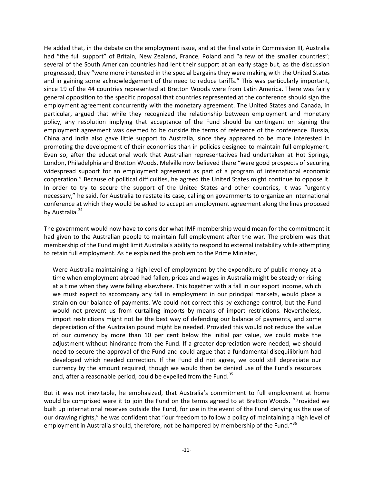He added that, in the debate on the employment issue, and at the final vote in Commission III, Australia had "the full support" of Britain, New Zealand, France, Poland and "a few of the smaller countries"; several of the South American countries had lent their support at an early stage but, as the discussion progressed, they "were more interested in the special bargains they were making with the United States and in gaining some acknowledgement of the need to reduce tariffs." This was particularly important, since 19 of the 44 countries represented at Bretton Woods were from Latin America. There was fairly general opposition to the specific proposal that countries represented at the conference should sign the employment agreement concurrently with the monetary agreement. The United States and Canada, in particular, argued that while they recognized the relationship between employment and monetary policy, any resolution implying that acceptance of the Fund should be contingent on signing the employment agreement was deemed to be outside the terms of reference of the conference. Russia, China and India also gave little support to Australia, since they appeared to be more interested in promoting the development of their economies than in policies designed to maintain full employment. Even so, after the educational work that Australian representatives had undertaken at Hot Springs, London, Philadelphia and Bretton Woods, Melville now believed there "were good prospects of securing widespread support for an employment agreement as part of a program of international economic cooperation." Because of political difficulties, he agreed the United States might continue to oppose it. In order to try to secure the support of the United States and other countries, it was "urgently necessary," he said, for Australia to restate its case, calling on governments to organize an international conference at which they would be asked to accept an employment agreement along the lines proposed by Australia.<sup>[34](#page-10-0)</sup>

<span id="page-11-2"></span><span id="page-11-1"></span><span id="page-11-0"></span>The government would now have to consider what IMF membership would mean for the commitment it had given to the Australian people to maintain full employment after the war. The problem was that membership of the Fund might limit Australia's ability to respond to external instability while attempting to retain full employment. As he explained the problem to the Prime Minister,

Were Australia maintaining a high level of employment by the expenditure of public money at a time when employment abroad had fallen, prices and wages in Australia might be steady or rising at a time when they were falling elsewhere. This together with a fall in our export income, which we must expect to accompany any fall in employment in our principal markets, would place a strain on our balance of payments. We could not correct this by exchange control, but the Fund would not prevent us from curtailing imports by means of import restrictions. Nevertheless, import restrictions might not be the best way of defending our balance of payments, and some depreciation of the Australian pound might be needed. Provided this would not reduce the value of our currency by more than 10 per cent below the initial par value, we could make the adjustment without hindrance from the Fund. If a greater depreciation were needed, we should need to secure the approval of the Fund and could argue that a fundamental disequilibrium had developed which needed correction. If the Fund did not agree, we could still depreciate our currency by the amount required, though we would then be denied use of the Fund's resources and, after a reasonable period, could be expelled from the Fund. $35$ 

But it was not inevitable, he emphasized, that Australia's commitment to full employment at home would be comprised were it to join the Fund on the terms agreed to at Bretton Woods. "Provided we built up international reserves outside the Fund, for use in the event of the Fund denying us the use of our drawing rights," he was confident that "our freedom to follow a policy of maintaining a high level of employment in Australia should, therefore, not be hampered by membership of the Fund."<sup>[36](#page-10-2)</sup>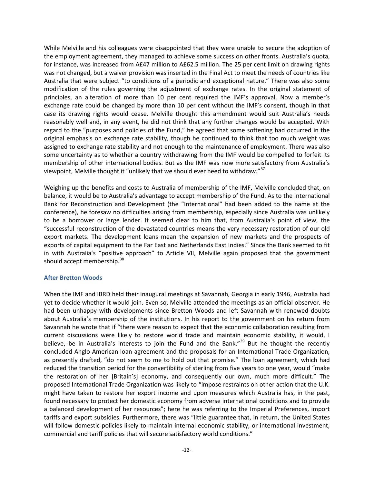While Melville and his colleagues were disappointed that they were unable to secure the adoption of the employment agreement, they managed to achieve some success on other fronts. Australia's quota, for instance, was increased from A£47 million to A£62.5 million. The 25 per cent limit on drawing rights was not changed, but a waiver provision was inserted in the Final Act to meet the needs of countries like Australia that were subject "to conditions of a periodic and exceptional nature." There was also some modification of the rules governing the adjustment of exchange rates. In the original statement of principles, an alteration of more than 10 per cent required the IMF's approval. Now a member's exchange rate could be changed by more than 10 per cent without the IMF's consent, though in that case its drawing rights would cease. Melville thought this amendment would suit Australia's needs reasonably well and, in any event, he did not think that any further changes would be accepted. With regard to the "purposes and policies of the Fund," he agreed that some softening had occurred in the original emphasis on exchange rate stability, though he continued to think that too much weight was assigned to exchange rate stability and not enough to the maintenance of employment. There was also some uncertainty as to whether a country withdrawing from the IMF would be compelled to forfeit its membership of other international bodies. But as the IMF was now more satisfactory from Australia's viewpoint, Melville thought it "unlikely that we should ever need to withdraw."<sup>[37](#page-11-0)</sup>

Weighing up the benefits and costs to Australia of membership of the IMF, Melville concluded that, on balance, it would be to Australia's advantage to accept membership of the Fund. As to the International Bank for Reconstruction and Development (the "International" had been added to the name at the conference), he foresaw no difficulties arising from membership, especially since Australia was unlikely to be a borrower or large lender. It seemed clear to him that, from Australia's point of view, the "successful reconstruction of the devastated countries means the very necessary restoration of our old export markets. The development loans mean the expansion of new markets and the prospects of exports of capital equipment to the Far East and Netherlands East Indies." Since the Bank seemed to fit in with Australia's "positive approach" to Article VII, Melville again proposed that the government should accept membership.<sup>[38](#page-11-1)</sup>

#### <span id="page-12-1"></span><span id="page-12-0"></span>**After Bretton Woods**

When the IMF and IBRD held their inaugural meetings at Savannah, Georgia in early 1946, Australia had yet to decide whether it would join. Even so, Melville attended the meetings as an official observer. He had been unhappy with developments since Bretton Woods and left Savannah with renewed doubts about Australia's membership of the institutions. In his report to the government on his return from Savannah he wrote that if "there were reason to expect that the economic collaboration resulting from current discussions were likely to restore world trade and maintain economic stability, it would, I believe, be in Australia's interests to join the Fund and the Bank."<sup>[39](#page-11-2)</sup> But he thought the recently concluded Anglo-American loan agreement and the proposals for an International Trade Organization, as presently drafted, "do not seem to me to hold out that promise." The loan agreement, which had reduced the transition period for the convertibility of sterling from five years to one year, would "make the restoration of her [Britain's] economy, and consequently our own, much more difficult." The proposed International Trade Organization was likely to "impose restraints on other action that the U.K. might have taken to restore her export income and upon measures which Australia has, in the past, found necessary to protect her domestic economy from adverse international conditions and to provide a balanced development of her resources"; here he was referring to the Imperial Preferences, import tariffs and export subsidies. Furthermore, there was "little guarantee that, in return, the United States will follow domestic policies likely to maintain internal economic stability, or international investment, commercial and tariff policies that will secure satisfactory world conditions."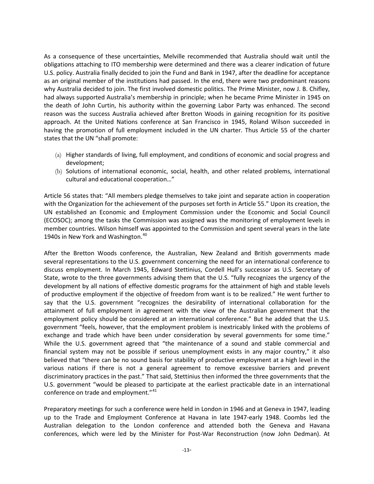As a consequence of these uncertainties, Melville recommended that Australia should wait until the obligations attaching to ITO membership were determined and there was a clearer indication of future U.S. policy. Australia finally decided to join the Fund and Bank in 1947, after the deadline for acceptance as an original member of the institutions had passed. In the end, there were two predominant reasons why Australia decided to join. The first involved domestic politics. The Prime Minister, now J. B. Chifley, had always supported Australia's membership in principle; when he became Prime Minister in 1945 on the death of John Curtin, his authority within the governing Labor Party was enhanced. The second reason was the success Australia achieved after Bretton Woods in gaining recognition for its positive approach. At the United Nations conference at San Francisco in 1945, Roland Wilson succeeded in having the promotion of full employment included in the UN charter. Thus Article 55 of the charter states that the UN "shall promote:

- (a) Higher standards of living, full employment, and conditions of economic and social progress and development;
- (b) Solutions of international economic, social, health, and other related problems, international cultural and educational cooperation…"

Article 56 states that: "All members pledge themselves to take joint and separate action in cooperation with the Organization for the achievement of the purposes set forth in Article 55." Upon its creation, the UN established an Economic and Employment Commission under the Economic and Social Council (ECOSOC); among the tasks the Commission was assigned was the monitoring of employment levels in member countries. Wilson himself was appointed to the Commission and spent several years in the late 19[40](#page-12-0)s in New York and Washington.<sup>40</sup>

<span id="page-13-1"></span><span id="page-13-0"></span>After the Bretton Woods conference, the Australian, New Zealand and British governments made several representations to the U.S. government concerning the need for an international conference to discuss employment. In March 1945, Edward Stettinius, Cordell Hull's successor as U.S. Secretary of State, wrote to the three governments advising them that the U.S. "fully recognizes the urgency of the development by all nations of effective domestic programs for the attainment of high and stable levels of productive employment if the objective of freedom from want is to be realized." He went further to say that the U.S. government "recognizes the desirability of international collaboration for the attainment of full employment in agreement with the view of the Australian government that the employment policy should be considered at an international conference." But he added that the U.S. government "feels, however, that the employment problem is inextricably linked with the problems of exchange and trade which have been under consideration by several governments for some time." While the U.S. government agreed that "the maintenance of a sound and stable commercial and financial system may not be possible if serious unemployment exists in any major country," it also believed that "there can be no sound basis for stability of productive employment at a high level in the various nations if there is not a general agreement to remove excessive barriers and prevent discriminatory practices in the past." That said, Stettinius then informed the three governments that the U.S. government "would be pleased to participate at the earliest practicable date in an international conference on trade and employment."<sup>[41](#page-12-1)</sup>

Preparatory meetings for such a conference were held in London in 1946 and at Geneva in 1947, leading up to the Trade and Employment Conference at Havana in late 1947-early 1948. Coombs led the Australian delegation to the London conference and attended both the Geneva and Havana conferences, which were led by the Minister for Post-War Reconstruction (now John Dedman). At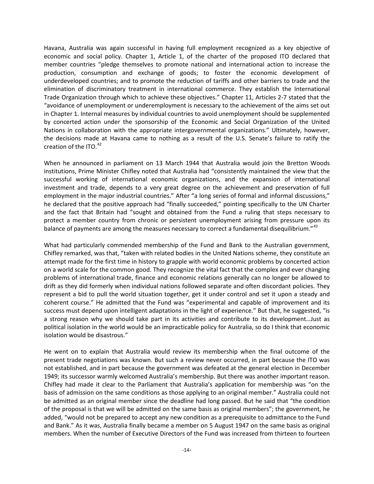Havana, Australia was again successful in having full employment recognized as a key objective of economic and social policy. Chapter 1, Article 1, of the charter of the proposed ITO declared that member countries "pledge themselves to promote national and international action to increase the production, consumption and exchange of goods; to foster the economic development of underdeveloped countries; and to promote the reduction of tariffs and other barriers to trade and the elimination of discriminatory treatment in international commerce. They establish the International Trade Organization through which to achieve these objectives." Chapter 11, Articles 2-7 stated that the "avoidance of unemployment or underemployment is necessary to the achievement of the aims set out in Chapter 1. Internal measures by individual countries to avoid unemployment should be supplemented by concerted action under the sponsorship of the Economic and Social Organization of the United Nations in collaboration with the appropriate intergovernmental organizations." Ultimately, however, the decisions made at Havana came to nothing as a result of the U.S. Senate's failure to ratify the creation of the ITO. $42$ 

When he announced in parliament on 13 March 1944 that Australia would join the Bretton Woods institutions, Prime Minister Chifley noted that Australia had "consistently maintained the view that the successful working of international economic organizations, and the expansion of international investment and trade, depends to a very great degree on the achievement and preservation of full employment in the major industrial countries." After "a long series of formal and informal discussions," he declared that the positive approach had "finally succeeded," pointing specifically to the UN Charter and the fact that Britain had "sought and obtained from the Fund a ruling that steps necessary to protect a member country from chronic or persistent unemployment arising from pressure upon its balance of payments are among the measures necessary to correct a fundamental disequilibrium."<sup>[43](#page-13-1)</sup>

What had particularly commended membership of the Fund and Bank to the Australian government, Chifley remarked, was that, "taken with related bodies in the United Nations scheme, they constitute an attempt made for the first time in history to grapple with world economic problems by concerted action on a world scale for the common good. They recognize the vital fact that the complex and ever changing problems of international trade, finance and economic relations generally can no longer be allowed to drift as they did formerly when individual nations followed separate and often discordant policies. They represent a bid to pull the world situation together, get it under control and set it upon a steady and coherent course." He admitted that the Fund was "experimental and capable of improvement and its success must depend upon intelligent adaptations in the light of experience." But that, he suggested, "is a strong reason why we should take part in its activities and contribute to its development…Just as political isolation in the world would be an impracticable policy for Australia, so do I think that economic isolation would be disastrous."

<span id="page-14-2"></span><span id="page-14-1"></span><span id="page-14-0"></span>He went on to explain that Australia would review its membership when the final outcome of the present trade negotiations was known. But such a review never occurred, in part because the ITO was not established, and in part because the government was defeated at the general election in December 1949; its successor warmly welcomed Australia's membership. But there was another important reason. Chifley had made it clear to the Parliament that Australia's application for membership was "on the basis of admission on the same conditions as those applying to an original member." Australia could not be admitted as an original member since the deadline had long passed. But he said that "the condition of the proposal is that we will be admitted on the same basis as original members"; the government, he added, "would not be prepared to accept any new condition as a prerequisite to admittance to the Fund and Bank." As it was, Australia finally became a member on 5 August 1947 on the same basis as original members. When the number of Executive Directors of the Fund was increased from thirteen to fourteen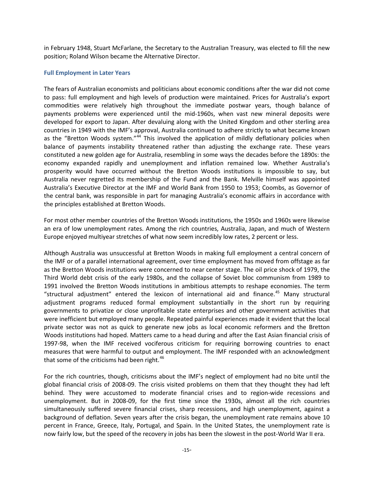in February 1948, Stuart McFarlane, the Secretary to the Australian Treasury, was elected to fill the new position; Roland Wilson became the Alternative Director.

#### **Full Employment in Later Years**

The fears of Australian economists and politicians about economic conditions after the war did not come to pass: full employment and high levels of production were maintained. Prices for Australia's export commodities were relatively high throughout the immediate postwar years, though balance of payments problems were experienced until the mid-1960s, when vast new mineral deposits were developed for export to Japan. After devaluing along with the United Kingdom and other sterling area countries in 1949 with the IMF's approval, Australia continued to adhere strictly to what became known as the "Bretton Woods system."<sup>[44](#page-14-0)</sup> This involved the application of mildly deflationary policies when balance of payments instability threatened rather than adjusting the exchange rate. These years constituted a new golden age for Australia, resembling in some ways the decades before the 1890s: the economy expanded rapidly and unemployment and inflation remained low. Whether Australia's prosperity would have occurred without the Bretton Woods institutions is impossible to say, but Australia never regretted its membership of the Fund and the Bank. Melville himself was appointed Australia's Executive Director at the IMF and World Bank from 1950 to 1953; Coombs, as Governor of the central bank, was responsible in part for managing Australia's economic affairs in accordance with the principles established at Bretton Woods.

For most other member countries of the Bretton Woods institutions, the 1950s and 1960s were likewise an era of low unemployment rates. Among the rich countries, Australia, Japan, and much of Western Europe enjoyed multiyear stretches of what now seem incredibly low rates, 2 percent or less.

Although Australia was unsuccessful at Bretton Woods in making full employment a central concern of the IMF or of a parallel international agreement, over time employment has moved from offstage as far as the Bretton Woods institutions were concerned to near center stage. The oil price shock of 1979, the Third World debt crisis of the early 1980s, and the collapse of Soviet bloc communism from 1989 to 1991 involved the Bretton Woods institutions in ambitious attempts to reshape economies. The term "structural adjustment" entered the lexicon of international aid and finance.<sup>[45](#page-14-1)</sup> Many structural adjustment programs reduced formal employment substantially in the short run by requiring governments to privatize or close unprofitable state enterprises and other government activities that were inefficient but employed many people. Repeated painful experiences made it evident that the local private sector was not as quick to generate new jobs as local economic reformers and the Bretton Woods institutions had hoped. Matters came to a head during and after the East Asian financial crisis of 1997-98, when the IMF received vociferous criticism for requiring borrowing countries to enact measures that were harmful to output and employment. The IMF responded with an acknowledgment that some of the criticisms had been right.<sup>[46](#page-14-2)</sup>

<span id="page-15-1"></span><span id="page-15-0"></span>For the rich countries, though, criticisms about the IMF's neglect of employment had no bite until the global financial crisis of 2008-09. The crisis visited problems on them that they thought they had left behind. They were accustomed to moderate financial crises and to region-wide recessions and unemployment. But in 2008-09, for the first time since the 1930s, almost all the rich countries simultaneously suffered severe financial crises, sharp recessions, and high unemployment, against a background of deflation. Seven years after the crisis began, the unemployment rate remains above 10 percent in France, Greece, Italy, Portugal, and Spain. In the United States, the unemployment rate is now fairly low, but the speed of the recovery in jobs has been the slowest in the post-World War II era.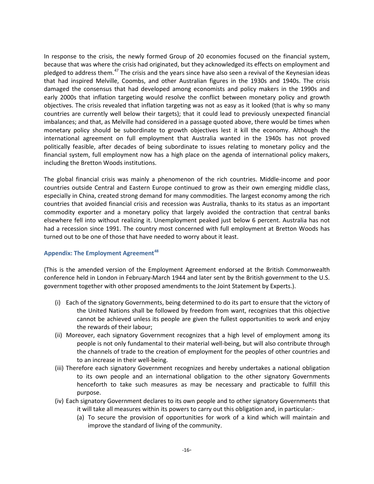In response to the crisis, the newly formed Group of 20 economies focused on the financial system, because that was where the crisis had originated, but they acknowledged its effects on employment and pledged to address them.<sup>[47](#page-15-0)</sup> The crisis and the years since have also seen a revival of the Keynesian ideas that had inspired Melville, Coombs, and other Australian figures in the 1930s and 1940s. The crisis damaged the consensus that had developed among economists and policy makers in the 1990s and early 2000s that inflation targeting would resolve the conflict between monetary policy and growth objectives. The crisis revealed that inflation targeting was not as easy as it looked (that is why so many countries are currently well below their targets); that it could lead to previously unexpected financial imbalances; and that, as Melville had considered in a passage quoted above, there would be times when monetary policy should be subordinate to growth objectives lest it kill the economy. Although the international agreement on full employment that Australia wanted in the 1940s has not proved politically feasible, after decades of being subordinate to issues relating to monetary policy and the financial system, full employment now has a high place on the agenda of international policy makers, including the Bretton Woods institutions.

The global financial crisis was mainly a phenomenon of the rich countries. Middle-income and poor countries outside Central and Eastern Europe continued to grow as their own emerging middle class, especially in China, created strong demand for many commodities. The largest economy among the rich countries that avoided financial crisis and recession was Australia, thanks to its status as an important commodity exporter and a monetary policy that largely avoided the contraction that central banks elsewhere fell into without realizing it. Unemployment peaked just below 6 percent. Australia has not had a recession since 1991. The country most concerned with full employment at Bretton Woods has turned out to be one of those that have needed to worry about it least.

#### **Appendix: The Employment Agreement[48](#page-15-1)**

(This is the amended version of the Employment Agreement endorsed at the British Commonwealth conference held in London in February-March 1944 and later sent by the British government to the U.S. government together with other proposed amendments to the Joint Statement by Experts.).

- (i) Each of the signatory Governments, being determined to do its part to ensure that the victory of the United Nations shall be followed by freedom from want, recognizes that this objective cannot be achieved unless its people are given the fullest opportunities to work and enjoy the rewards of their labour;
- (ii) Moreover, each signatory Government recognizes that a high level of employment among its people is not only fundamental to their material well-being, but will also contribute through the channels of trade to the creation of employment for the peoples of other countries and to an increase in their well-being.
- (iii) Therefore each signatory Government recognizes and hereby undertakes a national obligation to its own people and an international obligation to the other signatory Governments henceforth to take such measures as may be necessary and practicable to fulfill this purpose.
- (iv) Each signatory Government declares to its own people and to other signatory Governments that it will take all measures within its powers to carry out this obligation and, in particular:-
	- (a) To secure the provision of opportunities for work of a kind which will maintain and improve the standard of living of the community.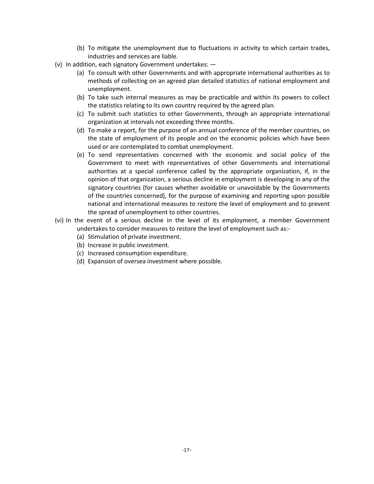- (b) To mitigate the unemployment due to fluctuations in activity to which certain trades, industries and services are liable.
- (v) In addition, each signatory Government undertakes:
	- (a) To consult with other Governments and with appropriate international authorities as to methods of collecting on an agreed plan detailed statistics of national employment and unemployment.
	- (b) To take such internal measures as may be practicable and within its powers to collect the statistics relating to its own country required by the agreed plan.
	- (c) To submit such statistics to other Governments, through an appropriate international organization at intervals not exceeding three months.
	- (d) To make a report, for the purpose of an annual conference of the member countries, on the state of employment of its people and on the economic policies which have been used or are contemplated to combat unemployment.
	- (e) To send representatives concerned with the economic and social policy of the Government to meet with representatives of other Governments and international authorities at a special conference called by the appropriate organization, if, in the opinion of that organization, a serious decline in employment is developing in any of the signatory countries (for causes whether avoidable or unavoidable by the Governments of the countries concerned), for the purpose of examining and reporting upon possible national and international measures to restore the level of employment and to prevent the spread of unemployment to other countries.
- (vi) In the event of a serious decline in the level of its employment, a member Government undertakes to consider measures to restore the level of employment such as:-
	- (a) Stimulation of private investment.
	- (b) Increase in public investment.
	- (c) Increased consumption expenditure.
	- (d) Expansion of oversea investment where possible.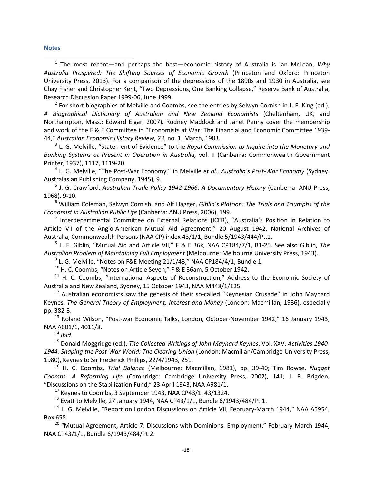#### **Notes**

 1 The most recent—and perhaps the best—economic history of Australia is Ian McLean, *Why Australia Prospered: The Shifting Sources of Economic Growth* (Princeton and Oxford: Princeton University Press, 2013). For a comparison of the depressions of the 1890s and 1930 in Australia, see Chay Fisher and Christopher Kent, "Two Depressions, One Banking Collapse," Reserve Bank of Australia, Research Discussion Paper 1999-06, June 1999.

 $<sup>2</sup>$  For short biographies of Melville and Coombs, see the entries by Selwyn Cornish in J. E. King (ed.),</sup> *A Biographical Dictionary of Australian and New Zealand Economists* (Cheltenham, UK, and Northampton, Mass.: Edward Elgar, 2007)*.* Rodney Maddock and Janet Penny cover the membership and work of the F & E Committee in "Economists at War: The Financial and Economic Committee 1939- 44," *Australian Economic History Review, 23*, no. 1, March, 1983.

<sup>3</sup> L. G. Melville, "Statement of Evidence" to the *Royal Commission to Inquire into the Monetary and Banking Systems at Present in Operation in Australia,* vol. II (Canberra: Commonwealth Government Printer, 1937), 1117, 1119-20.

<sup>4</sup> L. G. Melville, "The Post-War Economy," in Melville *et al., Australia's Post-War Economy* (Sydney: Australasian Publishing Company, 1945), 9. 5 J. G. Crawford, *Australian Trade Policy 1942-1966: A Documentary History* (Canberra: ANU Press,

1968), 9-10.

<sup>6</sup> William Coleman, Selwyn Cornish, and Alf Hagger, *Giblin's Platoon: The Trials and Triumphs of the Economist in Australian Public Life* (Canberra: ANU Press, 2006), 199.

<sup>7</sup> Interdepartmental Committee on External Relations (ICER), "Australia's Position in Relation to Article VII of the Anglo-American Mutual Aid Agreement," 20 August 1942, National Archives of Australia, Commonwealth Persons (NAA CP) index 43/1/1, Bundle 5/1943/444/Pt.1.

<sup>8</sup> L. F. Giblin, "Mutual Aid and Article VII," F & E 36k, NAA CP184/7/1, B1-25. See also Giblin, *The Australian Problem of Maintaining Full Employment* (Melbourne: Melbourne University Press, 1943).

 $9$  L. G. Melville, "Notes on F&E Meeting 21/1/43," NAA CP184/4/1, Bundle 1.

 $10$  H. C. Coombs, "Notes on Article Seven," F & E 36am, 5 October 1942.

 $11$  H. C. Coombs, "International Aspects of Reconstruction," Address to the Economic Society of Australia and New Zealand, Sydney, 15 October 1943, NAA M448/1/125.

 $12$  Australian economists saw the genesis of their so-called "Keynesian Crusade" in John Maynard Keynes, *The General Theory of Employment, Interest and Money* (London: Macmillan, 1936), especially pp. 382-3.

<sup>13</sup> Roland Wilson, "Post-war Economic Talks, London, October-November 1942," 16 January 1943, NAA A601/1, 4011/8.

<sup>14</sup> *Ibid*.

<sup>15</sup> Donald Moggridge (ed.), *The Collected Writings of John Maynard Keynes*, Vol. XXV. *Activities 1940- 1944. Shaping the Post-War World: The Clearing Union* (London: Macmillan/Cambridge University Press, 1980), Keynes to Sir Frederick Phillips, 22/4/1943, 251.

<sup>16</sup> H. C. Coombs, *Trial Balance* (Melbourne: Macmillan, 1981), pp. 39-40; Tim Rowse, *Nugget Coombs: A Reforming Life* (Cambridge: Cambridge University Press, 2002), 141; J. B. Brigden, "Discussions on the Stabilization Fund," 23 April 1943, NAA A981/1.

 $17$  Keynes to Coombs, 3 September 1943, NAA CP43/1, 43/1324.

 $^{18}$  Evatt to Melville, 27 January 1944, NAA CP43/1/1, Bundle 6/1943/484/Pt.1.

 $19$  L. G. Melville, "Report on London Discussions on Article VII, February-March 1944," NAA A5954, Box 658

 $20$  "Mutual Agreement, Article 7: Discussions with Dominions. Employment," February-March 1944, NAA CP43/1/1, Bundle 6/1943/484/Pt.2.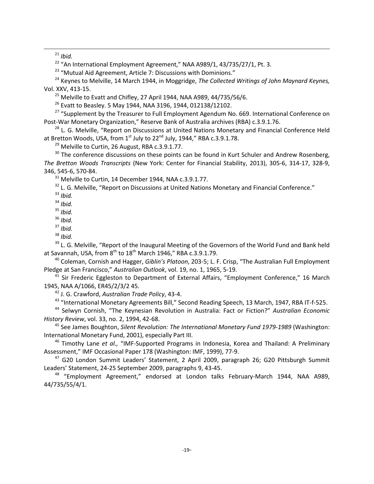21 *Ibid.*

 $22$  "An International Employment Agreement," NAA A989/1, 43/735/27/1, Pt. 3.

<sup>23</sup> "Mutual Aid Agreement, Article 7: Discussions with Dominions."

<sup>24</sup> Keynes to Melville, 14 March 1944, in Moggridge, *The Collected Writings of John Maynard Keynes,*  Vol. XXV, 413-15.

 $25$  Melville to Evatt and Chifley, 27 April 1944, NAA A989, 44/735/56/6.

 $^{26}$  Evatt to Beasley. 5 May 1944, NAA 3196, 1944, 012138/12102.

<sup>27</sup> "Supplement by the Treasurer to Full Employment Agendum No. 669. International Conference on Post-War Monetary Organization," Reserve Bank of Australia archives (RBA) c.3.9.1.76.

<sup>28</sup> L. G. Melville, "Report on Discussions at United Nations Monetary and Financial Conference Held at Bretton Woods, USA, from  $1<sup>st</sup>$  July to 22<sup>nd</sup> July, 1944," RBA c.3.9.1.78.

 $29$  Melville to Curtin, 26 August, RBA c.3.9.1.77.

 $30$  The conference discussions on these points can be found in Kurt Schuler and Andrew Rosenberg, *The Bretton Woods Transcripts* (New York: Center for Financial Stability, 2013), 305-6, 314-17, 328-9, 346, 545-6, 570-84.

<sup>31</sup> Melville to Curtin, 14 December 1944, NAA c.3.9.1.77.

<sup>32</sup> L. G. Melville, "Report on Discussions at United Nations Monetary and Financial Conference."

<sup>33</sup> *Ibid.*

<sup>34</sup> *Ibid.*

<sup>35</sup> *Ibid.*

<sup>36</sup> *Ibid.*

<sup>37</sup> *Ibid.*

<sup>38</sup> *Ibid.*

 $39$  L. G. Melville, "Report of the Inaugural Meeting of the Governors of the World Fund and Bank held at Savannah, USA, from  $8<sup>th</sup>$  to  $18<sup>th</sup>$  March 1946," RBA c.3.9.1.79.

<sup>40</sup> Coleman, Cornish and Hagger, *Giblin's Platoon*, 203-5; L. F. Crisp, "The Australian Full Employment Pledge at San Francisco," *Australian Outlook*, vol. 19, no. 1, 1965, 5-19.

<sup>41</sup> Sir Frederic Eggleston to Department of External Affairs, "Employment Conference," 16 March 1945, NAA A/1066, ER45/2/3/2 45.

<sup>42</sup> J. G. Crawford, *Australian Trade Policy*, 43-4.

<sup>43</sup> "International Monetary Agreements Bill," Second Reading Speech, 13 March, 1947, RBA IT-f-525.

<sup>44</sup> Selwyn Cornish, "The Keynesian Revolution in Australia: Fact or Fiction?" *Australian Economic History Review*, vol. 33, no. 2, 1994, 42-68.

<sup>45</sup> See James Boughton, *Silent Revolution: The International Monetary Fund 1979-1989* (Washington: International Monetary Fund, 2001), especially Part III.

<sup>46</sup> Timothy Lane *et al.,* "IMF-Supported Programs in Indonesia, Korea and Thailand: A Preliminary Assessment," IMF Occasional Paper 178 (Washington: IMF, 1999), 77-9.

<sup>47</sup> G20 London Summit Leaders' Statement, 2 April 2009, paragraph 26; G20 Pittsburgh Summit Leaders' Statement, 24-25 September 2009, paragraphs 9, 43-45.

<sup>48</sup> "Employment Agreement," endorsed at London talks February-March 1944, NAA A989, 44/735/55/4/1.